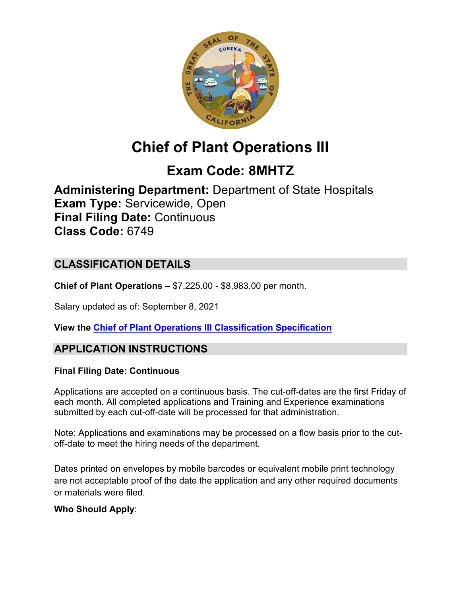

# **Chief of Plant Operations III**

# **Exam Code: 8MHTZ**

**Administering Department:** Department of State Hospitals **Exam Type:** Servicewide, Open **Final Filing Date:** Continuous **Class Code:** 6749

# **CLASSIFICATION DETAILS**

**Chief of Plant Operations –** \$7,225.00 - \$8,983.00 per month.

Salary updated as of: September 8, 2021

**View the [Chief of Plant Operations III Classification Specification](https://www.calhr.ca.gov/state-hr-professionals/pages/6752.aspx)**

# **APPLICATION INSTRUCTIONS**

#### **Final Filing Date: Continuous**

Applications are accepted on a continuous basis. The cut-off-dates are the first Friday of each month. All completed applications and Training and Experience examinations submitted by each cut-off-date will be processed for that administration.

Note: Applications and examinations may be processed on a flow basis prior to the cutoff-date to meet the hiring needs of the department.

Dates printed on envelopes by mobile barcodes or equivalent mobile print technology are not acceptable proof of the date the application and any other required documents or materials were filed.

### **Who Should Apply**: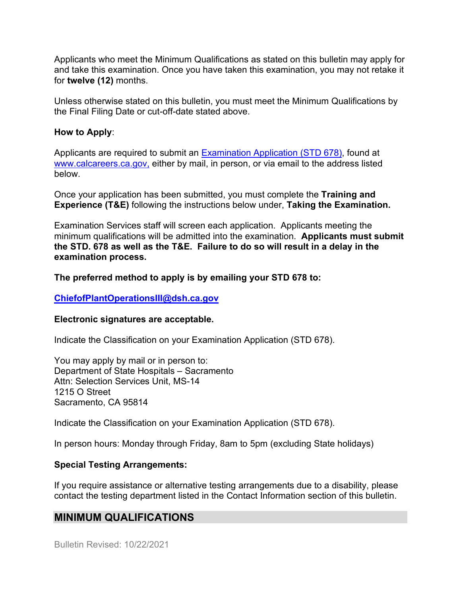Applicants who meet the Minimum Qualifications as stated on this bulletin may apply for and take this examination. Once you have taken this examination, you may not retake it for **twelve (12)** months.

Unless otherwise stated on this bulletin, you must meet the Minimum Qualifications by the Final Filing Date or cut-off-date stated above.

#### **How to Apply**:

Applicants are required to submit an [Examination Application \(STD 678\),](https://jobs.ca.gov/pdf/std678.pdf) found at [www.calcareers.ca.gov,](http://www.calcareers.ca.gov/) either by mail, in person, or via email to the address listed below.

Once your application has been submitted, you must complete the **Training and Experience (T&E)** following the instructions below under, **Taking the Examination.**

Examination Services staff will screen each application. Applicants meeting the minimum qualifications will be admitted into the examination. **Applicants must submit the STD. 678 as well as the T&E. Failure to do so will result in a delay in the examination process.**

#### **The preferred method to apply is by emailing your STD 678 to:**

#### **[ChiefofPlantOperationsIII@dsh.ca.gov](mailto:ChiefofPlantOperationsIII@dsh.ca.gov)**

#### **Electronic signatures are acceptable.**

Indicate the Classification on your Examination Application (STD 678).

You may apply by mail or in person to: Department of State Hospitals – Sacramento Attn: Selection Services Unit, MS-14 1215 O Street Sacramento, CA 95814

Indicate the Classification on your Examination Application (STD 678).

In person hours: Monday through Friday, 8am to 5pm (excluding State holidays)

#### **Special Testing Arrangements:**

If you require assistance or alternative testing arrangements due to a disability, please contact the testing department listed in the Contact Information section of this bulletin.

### **MINIMUM QUALIFICATIONS**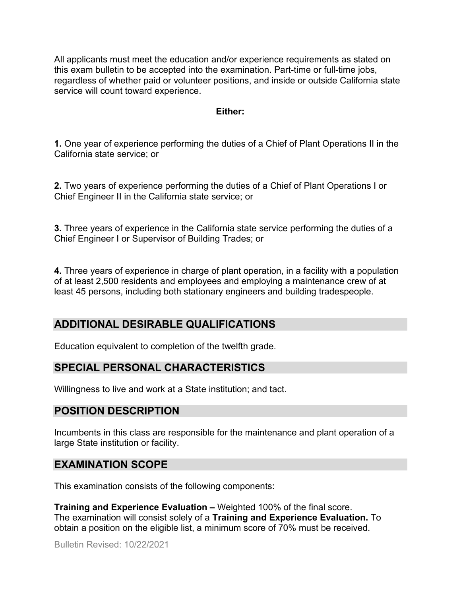All applicants must meet the education and/or experience requirements as stated on this exam bulletin to be accepted into the examination. Part-time or full-time jobs, regardless of whether paid or volunteer positions, and inside or outside California state service will count toward experience.

#### **Either:**

**1.** One year of experience performing the duties of a Chief of Plant Operations II in the California state service; or

**2.** Two years of experience performing the duties of a Chief of Plant Operations I or Chief Engineer II in the California state service; or

**3.** Three years of experience in the California state service performing the duties of a Chief Engineer I or Supervisor of Building Trades; or

**4.** Three years of experience in charge of plant operation, in a facility with a population of at least 2,500 residents and employees and employing a maintenance crew of at least 45 persons, including both stationary engineers and building tradespeople.

## **ADDITIONAL DESIRABLE QUALIFICATIONS**

Education equivalent to completion of the twelfth grade.

### **SPECIAL PERSONAL CHARACTERISTICS**

Willingness to live and work at a State institution; and tact.

### **POSITION DESCRIPTION**

Incumbents in this class are responsible for the maintenance and plant operation of a large State institution or facility.

### **EXAMINATION SCOPE**

This examination consists of the following components:

**Training and Experience Evaluation –** Weighted 100% of the final score. The examination will consist solely of a **Training and Experience Evaluation.** To obtain a position on the eligible list, a minimum score of 70% must be received.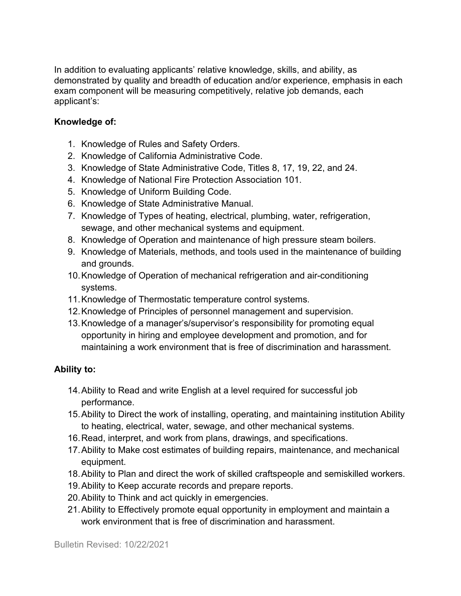In addition to evaluating applicants' relative knowledge, skills, and ability, as demonstrated by quality and breadth of education and/or experience, emphasis in each exam component will be measuring competitively, relative job demands, each applicant's:

## **Knowledge of:**

- 1. Knowledge of Rules and Safety Orders.
- 2. Knowledge of California Administrative Code.
- 3. Knowledge of State Administrative Code, Titles 8, 17, 19, 22, and 24.
- 4. Knowledge of National Fire Protection Association 101.
- 5. Knowledge of Uniform Building Code.
- 6. Knowledge of State Administrative Manual.
- 7. Knowledge of Types of heating, electrical, plumbing, water, refrigeration, sewage, and other mechanical systems and equipment.
- 8. Knowledge of Operation and maintenance of high pressure steam boilers.
- 9. Knowledge of Materials, methods, and tools used in the maintenance of building and grounds.
- 10.Knowledge of Operation of mechanical refrigeration and air-conditioning systems.
- 11.Knowledge of Thermostatic temperature control systems.
- 12.Knowledge of Principles of personnel management and supervision.
- 13.Knowledge of a manager's/supervisor's responsibility for promoting equal opportunity in hiring and employee development and promotion, and for maintaining a work environment that is free of discrimination and harassment.

## **Ability to:**

- 14.Ability to Read and write English at a level required for successful job performance.
- 15.Ability to Direct the work of installing, operating, and maintaining institution Ability to heating, electrical, water, sewage, and other mechanical systems.
- 16.Read, interpret, and work from plans, drawings, and specifications.
- 17.Ability to Make cost estimates of building repairs, maintenance, and mechanical equipment.
- 18.Ability to Plan and direct the work of skilled craftspeople and semiskilled workers.
- 19.Ability to Keep accurate records and prepare reports.
- 20.Ability to Think and act quickly in emergencies.
- 21.Ability to Effectively promote equal opportunity in employment and maintain a work environment that is free of discrimination and harassment.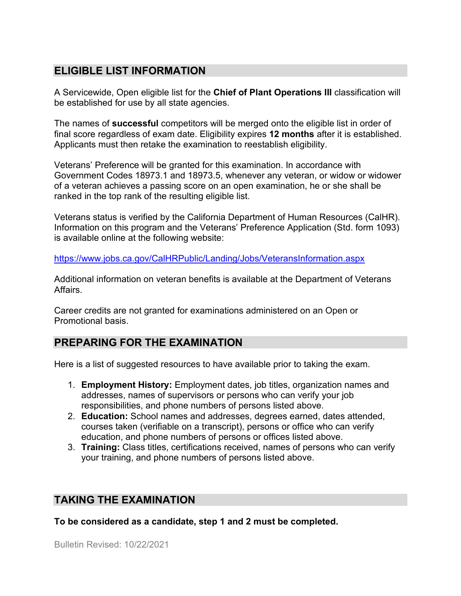# **ELIGIBLE LIST INFORMATION**

A Servicewide, Open eligible list for the **Chief of Plant Operations III** classification will be established for use by all state agencies.

The names of **successful** competitors will be merged onto the eligible list in order of final score regardless of exam date. Eligibility expires **12 months** after it is established. Applicants must then retake the examination to reestablish eligibility.

Veterans' Preference will be granted for this examination. In accordance with Government Codes 18973.1 and 18973.5, whenever any veteran, or widow or widower of a veteran achieves a passing score on an open examination, he or she shall be ranked in the top rank of the resulting eligible list.

Veterans status is verified by the California Department of Human Resources (CalHR). Information on this program and the Veterans' Preference Application (Std. form 1093) is available online at the following website:

<https://www.jobs.ca.gov/CalHRPublic/Landing/Jobs/VeteransInformation.aspx>

Additional information on veteran benefits is available at the Department of Veterans Affairs.

Career credits are not granted for examinations administered on an Open or Promotional basis.

# **PREPARING FOR THE EXAMINATION**

Here is a list of suggested resources to have available prior to taking the exam.

- 1. **Employment History:** Employment dates, job titles, organization names and addresses, names of supervisors or persons who can verify your job responsibilities, and phone numbers of persons listed above.
- 2. **Education:** School names and addresses, degrees earned, dates attended, courses taken (verifiable on a transcript), persons or office who can verify education, and phone numbers of persons or offices listed above.
- 3. **Training:** Class titles, certifications received, names of persons who can verify your training, and phone numbers of persons listed above.

# **TAKING THE EXAMINATION**

**To be considered as a candidate, step 1 and 2 must be completed.**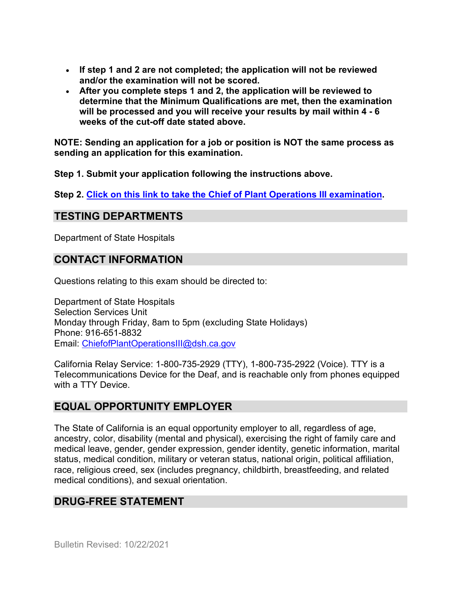- **If step 1 and 2 are not completed; the application will not be reviewed and/or the examination will not be scored.**
- **After you complete steps 1 and 2, the application will be reviewed to determine that the Minimum Qualifications are met, then the examination will be processed and you will receive your results by mail within 4 - 6 weeks of the cut-off date stated above.**

**NOTE: Sending an application for a job or position is NOT the same process as sending an application for this examination.**

**Step 1. Submit your application following the instructions above.**

**Step 2. [Click on this link to take the Chief of Plant Operations III](https://www.surveymonkey.com/r/86CKKHV) examination.**

## **TESTING DEPARTMENTS**

Department of State Hospitals

## **CONTACT INFORMATION**

Questions relating to this exam should be directed to:

Department of State Hospitals Selection Services Unit Monday through Friday, 8am to 5pm (excluding State Holidays) Phone: 916-651-8832 Email: [ChiefofPlantOperationsIII@dsh.ca.gov](mailto:ChiefofPlantOperationsIII@dsh.ca.gov)

California Relay Service: 1-800-735-2929 (TTY), 1-800-735-2922 (Voice). TTY is a Telecommunications Device for the Deaf, and is reachable only from phones equipped with a TTY Device.

# **EQUAL OPPORTUNITY EMPLOYER**

The State of California is an equal opportunity employer to all, regardless of age, ancestry, color, disability (mental and physical), exercising the right of family care and medical leave, gender, gender expression, gender identity, genetic information, marital status, medical condition, military or veteran status, national origin, political affiliation, race, religious creed, sex (includes pregnancy, childbirth, breastfeeding, and related medical conditions), and sexual orientation.

## **DRUG-FREE STATEMENT**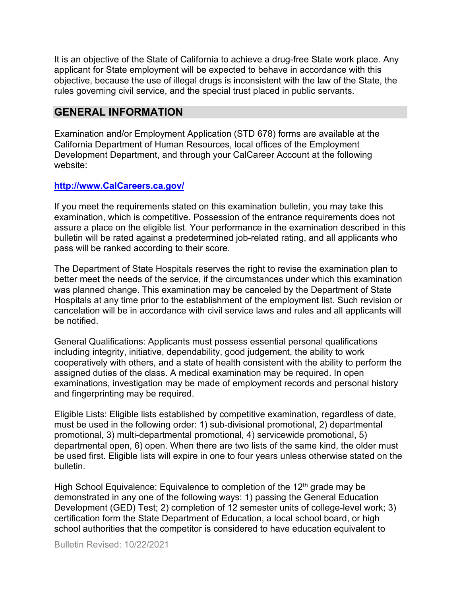It is an objective of the State of California to achieve a drug-free State work place. Any applicant for State employment will be expected to behave in accordance with this objective, because the use of illegal drugs is inconsistent with the law of the State, the rules governing civil service, and the special trust placed in public servants.

## **GENERAL INFORMATION**

Examination and/or Employment Application (STD 678) forms are available at the California Department of Human Resources, local offices of the Employment Development Department, and through your CalCareer Account at the following website:

#### **http://www.CalCareers.ca.gov/**

If you meet the requirements stated on this examination bulletin, you may take this examination, which is competitive. Possession of the entrance requirements does not assure a place on the eligible list. Your performance in the examination described in this bulletin will be rated against a predetermined job-related rating, and all applicants who pass will be ranked according to their score.

The Department of State Hospitals reserves the right to revise the examination plan to better meet the needs of the service, if the circumstances under which this examination was planned change. This examination may be canceled by the Department of State Hospitals at any time prior to the establishment of the employment list. Such revision or cancelation will be in accordance with civil service laws and rules and all applicants will be notified.

General Qualifications: Applicants must possess essential personal qualifications including integrity, initiative, dependability, good judgement, the ability to work cooperatively with others, and a state of health consistent with the ability to perform the assigned duties of the class. A medical examination may be required. In open examinations, investigation may be made of employment records and personal history and fingerprinting may be required.

Eligible Lists: Eligible lists established by competitive examination, regardless of date, must be used in the following order: 1) sub-divisional promotional, 2) departmental promotional, 3) multi-departmental promotional, 4) servicewide promotional, 5) departmental open, 6) open. When there are two lists of the same kind, the older must be used first. Eligible lists will expire in one to four years unless otherwise stated on the bulletin.

High School Equivalence: Equivalence to completion of the  $12<sup>th</sup>$  grade may be demonstrated in any one of the following ways: 1) passing the General Education Development (GED) Test; 2) completion of 12 semester units of college-level work; 3) certification form the State Department of Education, a local school board, or high school authorities that the competitor is considered to have education equivalent to